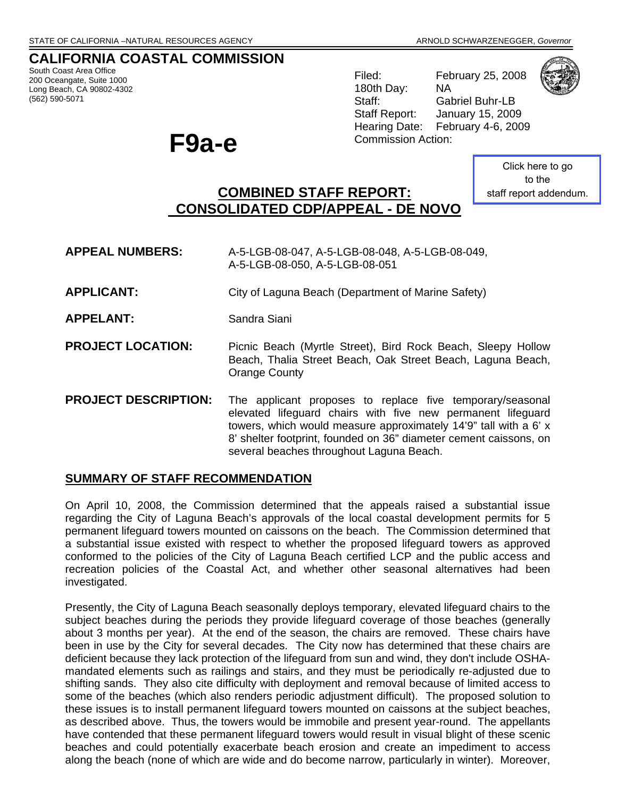# **CALIFORNIA COASTAL COMMISSION**

South Coast Area Office 200 Oceangate, Suite 1000 Long Beach, CA 90802-4302 (562) 590-5071

# Commission Action: **F9a-e**

Filed: February 25, 2008 180th Day: NA Staff: Gabriel Buhr-LB



Staff Report: January 15, 2009 Hearing Date: February 4-6, 2009

> Click here to go to the [staff report addendum.](http://documents.coastal.ca.gov/reports/2009/2/F9a-s-2-2009-a2.pdf)

# **COMBINED STAFF REPORT: CONSOLIDATED CDP/APPEAL - DE NOVO**

**APPEAL NUMBERS:** A-5-LGB-08-047, A-5-LGB-08-048, A-5-LGB-08-049, A-5-LGB-08-050, A-5-LGB-08-051

- **APPLICANT:** City of Laguna Beach (Department of Marine Safety)
- **APPELANT:** Sandra Siani
- **PROJECT LOCATION:** Picnic Beach (Myrtle Street), Bird Rock Beach, Sleepy Hollow Beach, Thalia Street Beach, Oak Street Beach, Laguna Beach, Orange County
- **PROJECT DESCRIPTION:** The applicant proposes to replace five temporary/seasonal elevated lifeguard chairs with five new permanent lifeguard towers, which would measure approximately 14'9" tall with a 6' x 8' shelter footprint, founded on 36" diameter cement caissons, on several beaches throughout Laguna Beach.

# **SUMMARY OF STAFF RECOMMENDATION**

On April 10, 2008, the Commission determined that the appeals raised a substantial issue regarding the City of Laguna Beach's approvals of the local coastal development permits for 5 permanent lifeguard towers mounted on caissons on the beach. The Commission determined that a substantial issue existed with respect to whether the proposed lifeguard towers as approved conformed to the policies of the City of Laguna Beach certified LCP and the public access and recreation policies of the Coastal Act, and whether other seasonal alternatives had been investigated.

Presently, the City of Laguna Beach seasonally deploys temporary, elevated lifeguard chairs to the subject beaches during the periods they provide lifeguard coverage of those beaches (generally about 3 months per year). At the end of the season, the chairs are removed. These chairs have been in use by the City for several decades. The City now has determined that these chairs are deficient because they lack protection of the lifeguard from sun and wind, they don't include OSHAmandated elements such as railings and stairs, and they must be periodically re-adjusted due to shifting sands. They also cite difficulty with deployment and removal because of limited access to some of the beaches (which also renders periodic adjustment difficult). The proposed solution to these issues is to install permanent lifeguard towers mounted on caissons at the subject beaches, as described above. Thus, the towers would be immobile and present year-round. The appellants have contended that these permanent lifeguard towers would result in visual blight of these scenic beaches and could potentially exacerbate beach erosion and create an impediment to access along the beach (none of which are wide and do become narrow, particularly in winter). Moreover,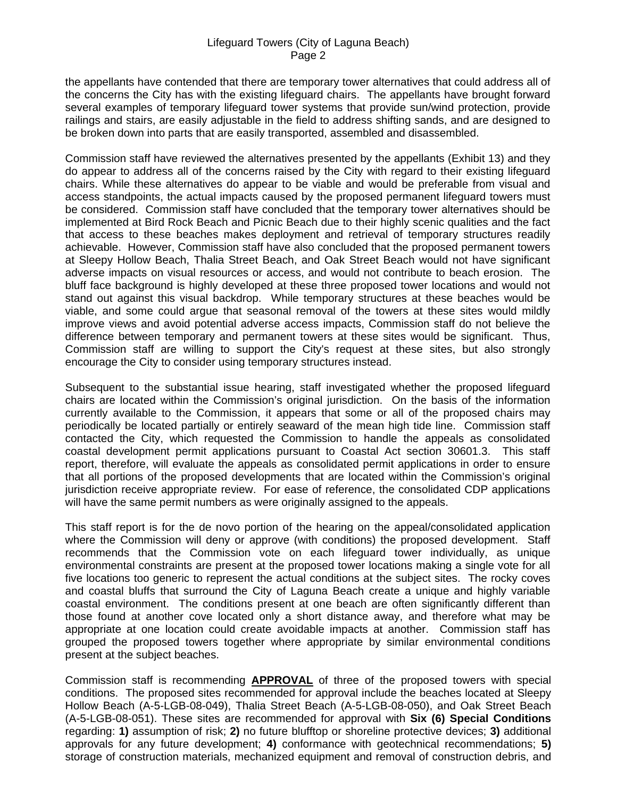the appellants have contended that there are temporary tower alternatives that could address all of the concerns the City has with the existing lifeguard chairs. The appellants have brought forward several examples of temporary lifeguard tower systems that provide sun/wind protection, provide railings and stairs, are easily adjustable in the field to address shifting sands, and are designed to be broken down into parts that are easily transported, assembled and disassembled.

Commission staff have reviewed the alternatives presented by the appellants (Exhibit 13) and they do appear to address all of the concerns raised by the City with regard to their existing lifeguard chairs. While these alternatives do appear to be viable and would be preferable from visual and access standpoints, the actual impacts caused by the proposed permanent lifeguard towers must be considered. Commission staff have concluded that the temporary tower alternatives should be implemented at Bird Rock Beach and Picnic Beach due to their highly scenic qualities and the fact that access to these beaches makes deployment and retrieval of temporary structures readily achievable. However, Commission staff have also concluded that the proposed permanent towers at Sleepy Hollow Beach, Thalia Street Beach, and Oak Street Beach would not have significant adverse impacts on visual resources or access, and would not contribute to beach erosion. The bluff face background is highly developed at these three proposed tower locations and would not stand out against this visual backdrop. While temporary structures at these beaches would be viable, and some could argue that seasonal removal of the towers at these sites would mildly improve views and avoid potential adverse access impacts, Commission staff do not believe the difference between temporary and permanent towers at these sites would be significant. Thus, Commission staff are willing to support the City's request at these sites, but also strongly encourage the City to consider using temporary structures instead.

Subsequent to the substantial issue hearing, staff investigated whether the proposed lifeguard chairs are located within the Commission's original jurisdiction. On the basis of the information currently available to the Commission, it appears that some or all of the proposed chairs may periodically be located partially or entirely seaward of the mean high tide line. Commission staff contacted the City, which requested the Commission to handle the appeals as consolidated coastal development permit applications pursuant to Coastal Act section 30601.3. This staff report, therefore, will evaluate the appeals as consolidated permit applications in order to ensure that all portions of the proposed developments that are located within the Commission's original jurisdiction receive appropriate review. For ease of reference, the consolidated CDP applications will have the same permit numbers as were originally assigned to the appeals.

This staff report is for the de novo portion of the hearing on the appeal/consolidated application where the Commission will deny or approve (with conditions) the proposed development. Staff recommends that the Commission vote on each lifeguard tower individually, as unique environmental constraints are present at the proposed tower locations making a single vote for all five locations too generic to represent the actual conditions at the subject sites. The rocky coves and coastal bluffs that surround the City of Laguna Beach create a unique and highly variable coastal environment. The conditions present at one beach are often significantly different than those found at another cove located only a short distance away, and therefore what may be appropriate at one location could create avoidable impacts at another. Commission staff has grouped the proposed towers together where appropriate by similar environmental conditions present at the subject beaches.

Commission staff is recommending **APPROVAL** of three of the proposed towers with special conditions. The proposed sites recommended for approval include the beaches located at Sleepy Hollow Beach (A-5-LGB-08-049), Thalia Street Beach (A-5-LGB-08-050), and Oak Street Beach (A-5-LGB-08-051). These sites are recommended for approval with **Six (6) Special Conditions** regarding: **1)** assumption of risk; **2)** no future blufftop or shoreline protective devices; **3)** additional approvals for any future development; **4)** conformance with geotechnical recommendations; **5)** storage of construction materials, mechanized equipment and removal of construction debris, and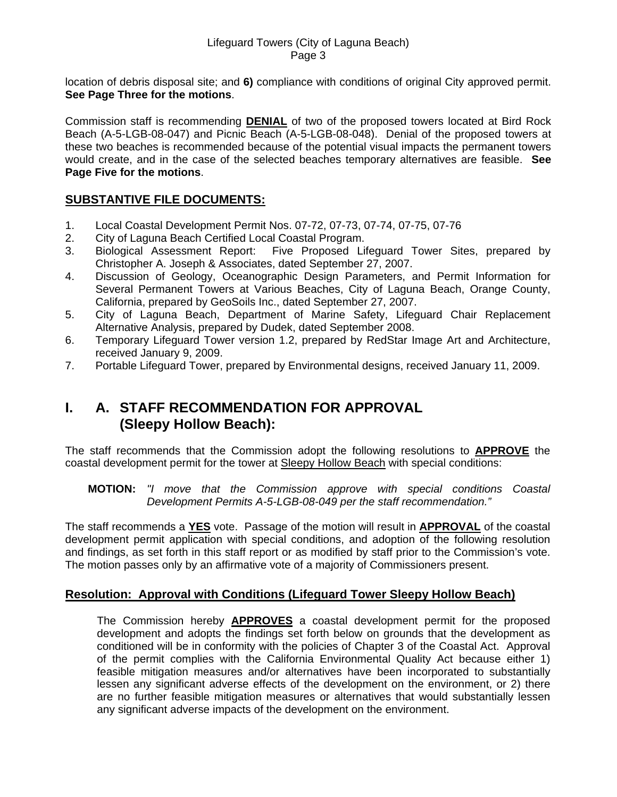location of debris disposal site; and **6)** compliance with conditions of original City approved permit. **See Page Three for the motions**.

Commission staff is recommending **DENIAL** of two of the proposed towers located at Bird Rock Beach (A-5-LGB-08-047) and Picnic Beach (A-5-LGB-08-048). Denial of the proposed towers at these two beaches is recommended because of the potential visual impacts the permanent towers would create, and in the case of the selected beaches temporary alternatives are feasible. **See Page Five for the motions**.

# **SUBSTANTIVE FILE DOCUMENTS:**

- 1. Local Coastal Development Permit Nos. 07-72, 07-73, 07-74, 07-75, 07-76
- 2. City of Laguna Beach Certified Local Coastal Program.
- 3. Biological Assessment Report: Five Proposed Lifeguard Tower Sites, prepared by Christopher A. Joseph & Associates, dated September 27, 2007.
- 4. Discussion of Geology, Oceanographic Design Parameters, and Permit Information for Several Permanent Towers at Various Beaches, City of Laguna Beach, Orange County, California, prepared by GeoSoils Inc., dated September 27, 2007.
- 5. City of Laguna Beach, Department of Marine Safety, Lifeguard Chair Replacement Alternative Analysis, prepared by Dudek, dated September 2008.
- 6. Temporary Lifeguard Tower version 1.2, prepared by RedStar Image Art and Architecture, received January 9, 2009.
- 7. Portable Lifeguard Tower, prepared by Environmental designs, received January 11, 2009.

# **I. A. STAFF RECOMMENDATION FOR APPROVAL (Sleepy Hollow Beach):**

The staff recommends that the Commission adopt the following resolutions to **APPROVE** the coastal development permit for the tower at Sleepy Hollow Beach with special conditions:

#### **MOTION:** *"I move that the Commission approve with special conditions Coastal Development Permits A-5-LGB-08-049 per the staff recommendation."*

The staff recommends a **YES** vote. Passage of the motion will result in **APPROVAL** of the coastal development permit application with special conditions, and adoption of the following resolution and findings, as set forth in this staff report or as modified by staff prior to the Commission's vote. The motion passes only by an affirmative vote of a majority of Commissioners present.

#### **Resolution: Approval with Conditions (Lifeguard Tower Sleepy Hollow Beach)**

 The Commission hereby **APPROVES** a coastal development permit for the proposed development and adopts the findings set forth below on grounds that the development as conditioned will be in conformity with the policies of Chapter 3 of the Coastal Act. Approval of the permit complies with the California Environmental Quality Act because either 1) feasible mitigation measures and/or alternatives have been incorporated to substantially lessen any significant adverse effects of the development on the environment, or 2) there are no further feasible mitigation measures or alternatives that would substantially lessen any significant adverse impacts of the development on the environment.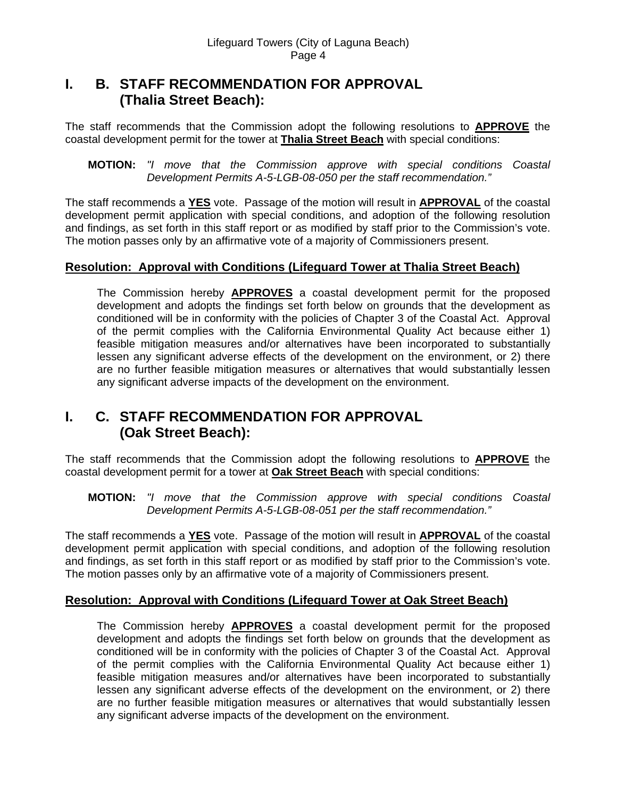# **I. B. STAFF RECOMMENDATION FOR APPROVAL (Thalia Street Beach):**

The staff recommends that the Commission adopt the following resolutions to **APPROVE** the coastal development permit for the tower at **Thalia Street Beach** with special conditions:

 **MOTION:** *"I move that the Commission approve with special conditions Coastal Development Permits A-5-LGB-08-050 per the staff recommendation."* 

The staff recommends a **YES** vote. Passage of the motion will result in **APPROVAL** of the coastal development permit application with special conditions, and adoption of the following resolution and findings, as set forth in this staff report or as modified by staff prior to the Commission's vote. The motion passes only by an affirmative vote of a majority of Commissioners present.

## **Resolution: Approval with Conditions (Lifeguard Tower at Thalia Street Beach)**

 The Commission hereby **APPROVES** a coastal development permit for the proposed development and adopts the findings set forth below on grounds that the development as conditioned will be in conformity with the policies of Chapter 3 of the Coastal Act. Approval of the permit complies with the California Environmental Quality Act because either 1) feasible mitigation measures and/or alternatives have been incorporated to substantially lessen any significant adverse effects of the development on the environment, or 2) there are no further feasible mitigation measures or alternatives that would substantially lessen any significant adverse impacts of the development on the environment.

# **I. C. STAFF RECOMMENDATION FOR APPROVAL (Oak Street Beach):**

The staff recommends that the Commission adopt the following resolutions to **APPROVE** the coastal development permit for a tower at **Oak Street Beach** with special conditions:

 **MOTION:** *"I move that the Commission approve with special conditions Coastal Development Permits A-5-LGB-08-051 per the staff recommendation."* 

The staff recommends a **YES** vote. Passage of the motion will result in **APPROVAL** of the coastal development permit application with special conditions, and adoption of the following resolution and findings, as set forth in this staff report or as modified by staff prior to the Commission's vote. The motion passes only by an affirmative vote of a majority of Commissioners present.

# **Resolution: Approval with Conditions (Lifeguard Tower at Oak Street Beach)**

 The Commission hereby **APPROVES** a coastal development permit for the proposed development and adopts the findings set forth below on grounds that the development as conditioned will be in conformity with the policies of Chapter 3 of the Coastal Act. Approval of the permit complies with the California Environmental Quality Act because either 1) feasible mitigation measures and/or alternatives have been incorporated to substantially lessen any significant adverse effects of the development on the environment, or 2) there are no further feasible mitigation measures or alternatives that would substantially lessen any significant adverse impacts of the development on the environment.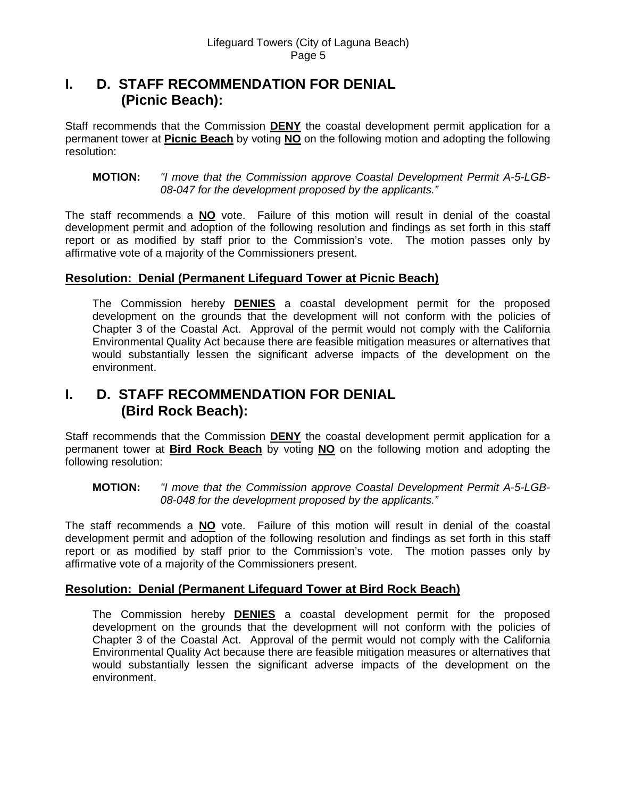# **I. D. STAFF RECOMMENDATION FOR DENIAL (Picnic Beach):**

Staff recommends that the Commission **DENY** the coastal development permit application for a permanent tower at **Picnic Beach** by voting **NO** on the following motion and adopting the following resolution:

#### **MOTION:** *"I move that the Commission approve Coastal Development Permit A-5-LGB-08-047 for the development proposed by the applicants."*

The staff recommends a **NO** vote. Failure of this motion will result in denial of the coastal development permit and adoption of the following resolution and findings as set forth in this staff report or as modified by staff prior to the Commission's vote. The motion passes only by affirmative vote of a majority of the Commissioners present.

# **Resolution: Denial (Permanent Lifeguard Tower at Picnic Beach)**

The Commission hereby **DENIES** a coastal development permit for the proposed development on the grounds that the development will not conform with the policies of Chapter 3 of the Coastal Act. Approval of the permit would not comply with the California Environmental Quality Act because there are feasible mitigation measures or alternatives that would substantially lessen the significant adverse impacts of the development on the environment.

# **I. D. STAFF RECOMMENDATION FOR DENIAL (Bird Rock Beach):**

Staff recommends that the Commission **DENY** the coastal development permit application for a permanent tower at **Bird Rock Beach** by voting **NO** on the following motion and adopting the following resolution:

#### **MOTION:** *"I move that the Commission approve Coastal Development Permit A-5-LGB-08-048 for the development proposed by the applicants."*

The staff recommends a **NO** vote. Failure of this motion will result in denial of the coastal development permit and adoption of the following resolution and findings as set forth in this staff report or as modified by staff prior to the Commission's vote. The motion passes only by affirmative vote of a majority of the Commissioners present.

# **Resolution: Denial (Permanent Lifeguard Tower at Bird Rock Beach)**

The Commission hereby **DENIES** a coastal development permit for the proposed development on the grounds that the development will not conform with the policies of Chapter 3 of the Coastal Act. Approval of the permit would not comply with the California Environmental Quality Act because there are feasible mitigation measures or alternatives that would substantially lessen the significant adverse impacts of the development on the environment.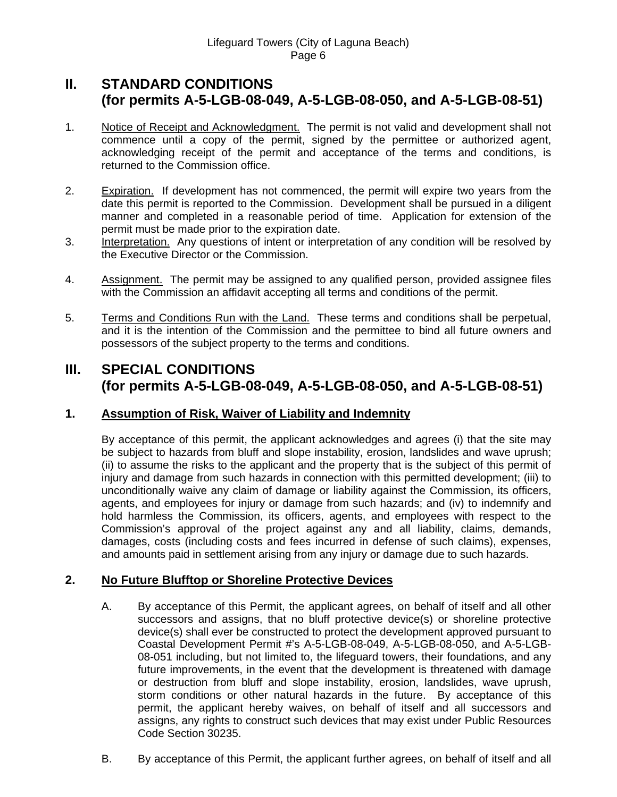# **II. STANDARD CONDITIONS (for permits A-5-LGB-08-049, A-5-LGB-08-050, and A-5-LGB-08-51)**

- 1. Notice of Receipt and Acknowledgment. The permit is not valid and development shall not commence until a copy of the permit, signed by the permittee or authorized agent, acknowledging receipt of the permit and acceptance of the terms and conditions, is returned to the Commission office.
- 2. Expiration. If development has not commenced, the permit will expire two years from the date this permit is reported to the Commission. Development shall be pursued in a diligent manner and completed in a reasonable period of time. Application for extension of the permit must be made prior to the expiration date.
- 3. Interpretation. Any questions of intent or interpretation of any condition will be resolved by the Executive Director or the Commission.
- 4. Assignment. The permit may be assigned to any qualified person, provided assignee files with the Commission an affidavit accepting all terms and conditions of the permit.
- 5. Terms and Conditions Run with the Land. These terms and conditions shall be perpetual, and it is the intention of the Commission and the permittee to bind all future owners and possessors of the subject property to the terms and conditions.

# **III. SPECIAL CONDITIONS (for permits A-5-LGB-08-049, A-5-LGB-08-050, and A-5-LGB-08-51)**

# **1. Assumption of Risk, Waiver of Liability and Indemnity**

By acceptance of this permit, the applicant acknowledges and agrees (i) that the site may be subject to hazards from bluff and slope instability, erosion, landslides and wave uprush; (ii) to assume the risks to the applicant and the property that is the subject of this permit of injury and damage from such hazards in connection with this permitted development; (iii) to unconditionally waive any claim of damage or liability against the Commission, its officers, agents, and employees for injury or damage from such hazards; and (iv) to indemnify and hold harmless the Commission, its officers, agents, and employees with respect to the Commission's approval of the project against any and all liability, claims, demands, damages, costs (including costs and fees incurred in defense of such claims), expenses, and amounts paid in settlement arising from any injury or damage due to such hazards.

# **2. No Future Blufftop or Shoreline Protective Devices**

- A. By acceptance of this Permit, the applicant agrees, on behalf of itself and all other successors and assigns, that no bluff protective device(s) or shoreline protective device(s) shall ever be constructed to protect the development approved pursuant to Coastal Development Permit #'s A-5-LGB-08-049, A-5-LGB-08-050, and A-5-LGB-08-051 including, but not limited to, the lifeguard towers, their foundations, and any future improvements, in the event that the development is threatened with damage or destruction from bluff and slope instability, erosion, landslides, wave uprush, storm conditions or other natural hazards in the future. By acceptance of this permit, the applicant hereby waives, on behalf of itself and all successors and assigns, any rights to construct such devices that may exist under Public Resources Code Section 30235.
- B. By acceptance of this Permit, the applicant further agrees, on behalf of itself and all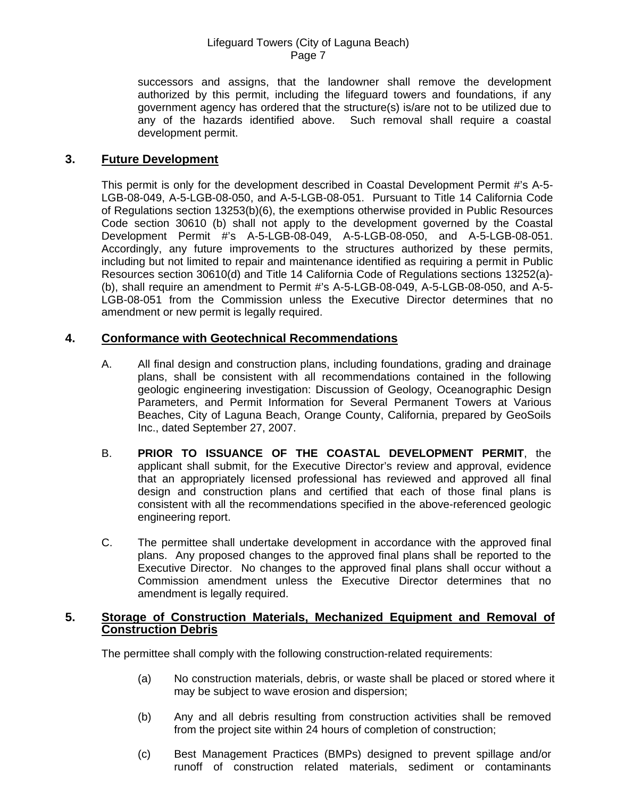successors and assigns, that the landowner shall remove the development authorized by this permit, including the lifeguard towers and foundations, if any government agency has ordered that the structure(s) is/are not to be utilized due to any of the hazards identified above. Such removal shall require a coastal development permit.

## **3. Future Development**

This permit is only for the development described in Coastal Development Permit #'s A-5- LGB-08-049, A-5-LGB-08-050, and A-5-LGB-08-051. Pursuant to Title 14 California Code of Regulations section 13253(b)(6), the exemptions otherwise provided in Public Resources Code section 30610 (b) shall not apply to the development governed by the Coastal Development Permit #'s A-5-LGB-08-049, A-5-LGB-08-050, and A-5-LGB-08-051. Accordingly, any future improvements to the structures authorized by these permits, including but not limited to repair and maintenance identified as requiring a permit in Public Resources section 30610(d) and Title 14 California Code of Regulations sections 13252(a)- (b), shall require an amendment to Permit #'s A-5-LGB-08-049, A-5-LGB-08-050, and A-5- LGB-08-051 from the Commission unless the Executive Director determines that no amendment or new permit is legally required.

## **4. Conformance with Geotechnical Recommendations**

- A. All final design and construction plans, including foundations, grading and drainage plans, shall be consistent with all recommendations contained in the following geologic engineering investigation: Discussion of Geology, Oceanographic Design Parameters, and Permit Information for Several Permanent Towers at Various Beaches, City of Laguna Beach, Orange County, California, prepared by GeoSoils Inc., dated September 27, 2007.
- B. **PRIOR TO ISSUANCE OF THE COASTAL DEVELOPMENT PERMIT**, the applicant shall submit, for the Executive Director's review and approval, evidence that an appropriately licensed professional has reviewed and approved all final design and construction plans and certified that each of those final plans is consistent with all the recommendations specified in the above-referenced geologic engineering report.
- C. The permittee shall undertake development in accordance with the approved final plans. Any proposed changes to the approved final plans shall be reported to the Executive Director. No changes to the approved final plans shall occur without a Commission amendment unless the Executive Director determines that no amendment is legally required.

#### **5. Storage of Construction Materials, Mechanized Equipment and Removal of Construction Debris**

The permittee shall comply with the following construction-related requirements:

- (a) No construction materials, debris, or waste shall be placed or stored where it may be subject to wave erosion and dispersion;
- (b) Any and all debris resulting from construction activities shall be removed from the project site within 24 hours of completion of construction;
- (c) Best Management Practices (BMPs) designed to prevent spillage and/or runoff of construction related materials, sediment or contaminants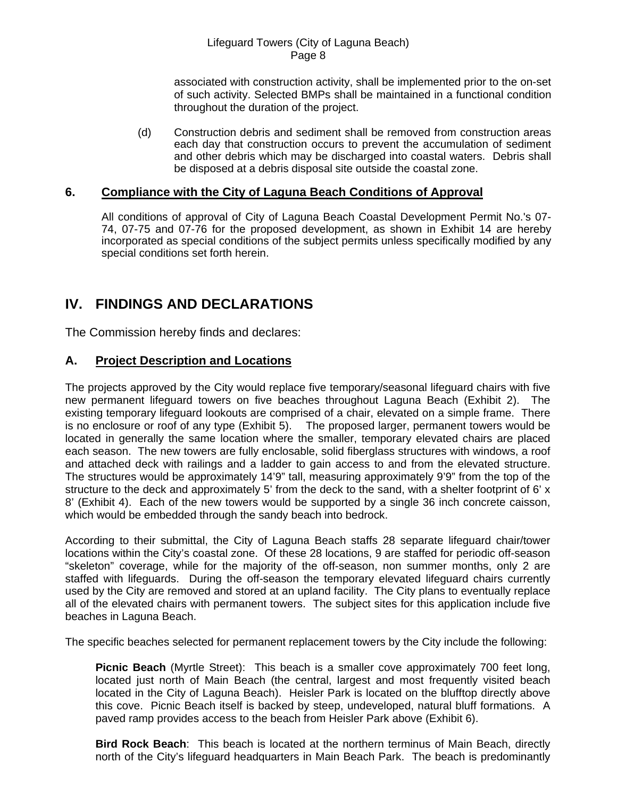associated with construction activity, shall be implemented prior to the on-set of such activity. Selected BMPs shall be maintained in a functional condition throughout the duration of the project.

(d) Construction debris and sediment shall be removed from construction areas each day that construction occurs to prevent the accumulation of sediment and other debris which may be discharged into coastal waters. Debris shall be disposed at a debris disposal site outside the coastal zone.

## **6. Compliance with the City of Laguna Beach Conditions of Approval**

All conditions of approval of City of Laguna Beach Coastal Development Permit No.'s 07- 74, 07-75 and 07-76 for the proposed development, as shown in Exhibit 14 are hereby incorporated as special conditions of the subject permits unless specifically modified by any special conditions set forth herein.

# **IV. FINDINGS AND DECLARATIONS**

The Commission hereby finds and declares:

## **A. Project Description and Locations**

The projects approved by the City would replace five temporary/seasonal lifeguard chairs with five new permanent lifeguard towers on five beaches throughout Laguna Beach (Exhibit 2). The existing temporary lifeguard lookouts are comprised of a chair, elevated on a simple frame. There is no enclosure or roof of any type (Exhibit 5). The proposed larger, permanent towers would be located in generally the same location where the smaller, temporary elevated chairs are placed each season. The new towers are fully enclosable, solid fiberglass structures with windows, a roof and attached deck with railings and a ladder to gain access to and from the elevated structure. The structures would be approximately 14'9" tall, measuring approximately 9'9" from the top of the structure to the deck and approximately 5' from the deck to the sand, with a shelter footprint of 6' x 8' (Exhibit 4). Each of the new towers would be supported by a single 36 inch concrete caisson, which would be embedded through the sandy beach into bedrock.

According to their submittal, the City of Laguna Beach staffs 28 separate lifeguard chair/tower locations within the City's coastal zone. Of these 28 locations, 9 are staffed for periodic off-season "skeleton" coverage, while for the majority of the off-season, non summer months, only 2 are staffed with lifeguards. During the off-season the temporary elevated lifeguard chairs currently used by the City are removed and stored at an upland facility. The City plans to eventually replace all of the elevated chairs with permanent towers. The subject sites for this application include five beaches in Laguna Beach.

The specific beaches selected for permanent replacement towers by the City include the following:

**Picnic Beach** (Myrtle Street): This beach is a smaller cove approximately 700 feet long, located just north of Main Beach (the central, largest and most frequently visited beach located in the City of Laguna Beach). Heisler Park is located on the blufftop directly above this cove. Picnic Beach itself is backed by steep, undeveloped, natural bluff formations. A paved ramp provides access to the beach from Heisler Park above (Exhibit 6).

**Bird Rock Beach**: This beach is located at the northern terminus of Main Beach, directly north of the City's lifeguard headquarters in Main Beach Park. The beach is predominantly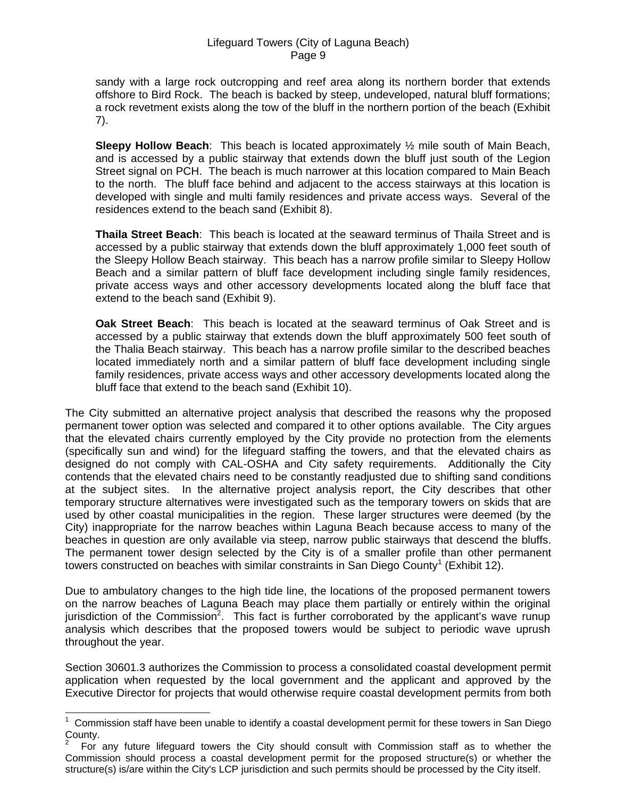sandy with a large rock outcropping and reef area along its northern border that extends offshore to Bird Rock. The beach is backed by steep, undeveloped, natural bluff formations; a rock revetment exists along the tow of the bluff in the northern portion of the beach (Exhibit 7).

**Sleepy Hollow Beach**: This beach is located approximately ½ mile south of Main Beach, and is accessed by a public stairway that extends down the bluff just south of the Legion Street signal on PCH. The beach is much narrower at this location compared to Main Beach to the north. The bluff face behind and adjacent to the access stairways at this location is developed with single and multi family residences and private access ways. Several of the residences extend to the beach sand (Exhibit 8).

**Thaila Street Beach**: This beach is located at the seaward terminus of Thaila Street and is accessed by a public stairway that extends down the bluff approximately 1,000 feet south of the Sleepy Hollow Beach stairway. This beach has a narrow profile similar to Sleepy Hollow Beach and a similar pattern of bluff face development including single family residences, private access ways and other accessory developments located along the bluff face that extend to the beach sand (Exhibit 9).

**Oak Street Beach**: This beach is located at the seaward terminus of Oak Street and is accessed by a public stairway that extends down the bluff approximately 500 feet south of the Thalia Beach stairway. This beach has a narrow profile similar to the described beaches located immediately north and a similar pattern of bluff face development including single family residences, private access ways and other accessory developments located along the bluff face that extend to the beach sand (Exhibit 10).

The City submitted an alternative project analysis that described the reasons why the proposed permanent tower option was selected and compared it to other options available. The City argues that the elevated chairs currently employed by the City provide no protection from the elements (specifically sun and wind) for the lifeguard staffing the towers, and that the elevated chairs as designed do not comply with CAL-OSHA and City safety requirements. Additionally the City contends that the elevated chairs need to be constantly readjusted due to shifting sand conditions at the subject sites. In the alternative project analysis report, the City describes that other temporary structure alternatives were investigated such as the temporary towers on skids that are used by other coastal municipalities in the region. These larger structures were deemed (by the City) inappropriate for the narrow beaches within Laguna Beach because access to many of the beaches in question are only available via steep, narrow public stairways that descend the bluffs. The permanent tower design selected by the City is of a smaller profile than other permanent towers constructed on beaches with similar constraints in San Diego County<sup>[1](#page-8-0)</sup> (Exhibit 12).

Due to ambulatory changes to the high tide line, the locations of the proposed permanent towers on the narrow beaches of Laguna Beach may place them partially or entirely within the original jurisdiction of the Commission<sup>[2](#page-8-1)</sup>. This fact is further corroborated by the applicant's wave runup analysis which describes that the proposed towers would be subject to periodic wave uprush throughout the year.

Section 30601.3 authorizes the Commission to process a consolidated coastal development permit application when requested by the local government and the applicant and approved by the Executive Director for projects that would otherwise require coastal development permits from both

l

<span id="page-8-0"></span><sup>1</sup> Commission staff have been unable to identify a coastal development permit for these towers in San Diego County.

<span id="page-8-1"></span><sup>2</sup> For any future lifeguard towers the City should consult with Commission staff as to whether the Commission should process a coastal development permit for the proposed structure(s) or whether the structure(s) is/are within the City's LCP jurisdiction and such permits should be processed by the City itself.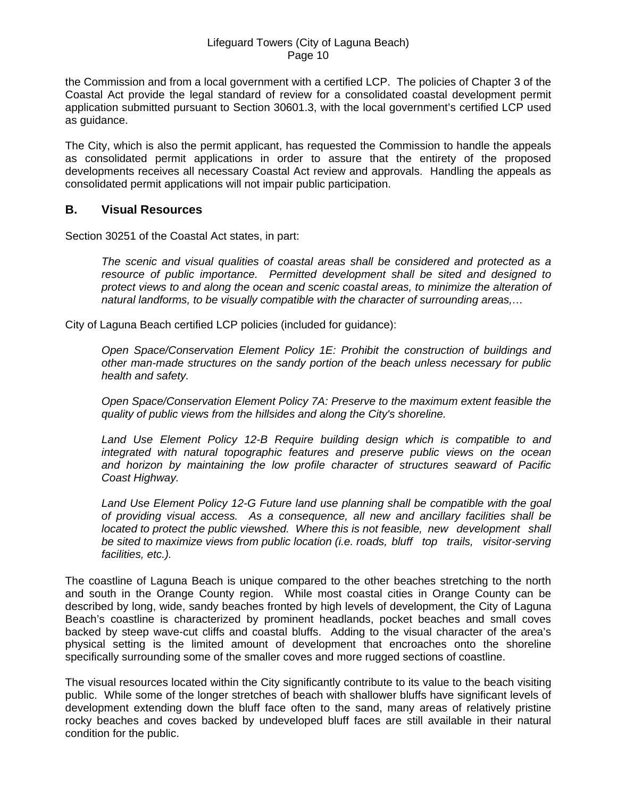the Commission and from a local government with a certified LCP. The policies of Chapter 3 of the Coastal Act provide the legal standard of review for a consolidated coastal development permit application submitted pursuant to Section 30601.3, with the local government's certified LCP used as guidance.

The City, which is also the permit applicant, has requested the Commission to handle the appeals as consolidated permit applications in order to assure that the entirety of the proposed developments receives all necessary Coastal Act review and approvals. Handling the appeals as consolidated permit applications will not impair public participation.

## **B. Visual Resources**

Section 30251 of the Coastal Act states, in part:

*The scenic and visual qualities of coastal areas shall be considered and protected as a resource of public importance. Permitted development shall be sited and designed to protect views to and along the ocean and scenic coastal areas, to minimize the alteration of natural landforms, to be visually compatible with the character of surrounding areas,…* 

City of Laguna Beach certified LCP policies (included for guidance):

*Open Space/Conservation Element Policy 1E: Prohibit the construction of buildings and other man-made structures on the sandy portion of the beach unless necessary for public health and safety.* 

*Open Space/Conservation Element Policy 7A: Preserve to the maximum extent feasible the quality of public views from the hillsides and along the City's shoreline.* 

Land Use Element Policy 12-B Require building design which is compatible to and  *integrated with natural topographic features and preserve public views on the ocean and horizon by maintaining the low profile character of structures seaward of Pacific Coast Highway.* 

*Land Use Element Policy 12-G Future land use planning shall be compatible with the goal of providing visual access. As a consequence, all new and ancillary facilities shall be located to protect the public viewshed. Where this is not feasible, new development shall be sited to maximize views from public location (i.e. roads, bluff top trails, visitor-serving facilities, etc.).* 

The coastline of Laguna Beach is unique compared to the other beaches stretching to the north and south in the Orange County region. While most coastal cities in Orange County can be described by long, wide, sandy beaches fronted by high levels of development, the City of Laguna Beach's coastline is characterized by prominent headlands, pocket beaches and small coves backed by steep wave-cut cliffs and coastal bluffs. Adding to the visual character of the area's physical setting is the limited amount of development that encroaches onto the shoreline specifically surrounding some of the smaller coves and more rugged sections of coastline.

The visual resources located within the City significantly contribute to its value to the beach visiting public. While some of the longer stretches of beach with shallower bluffs have significant levels of development extending down the bluff face often to the sand, many areas of relatively pristine rocky beaches and coves backed by undeveloped bluff faces are still available in their natural condition for the public.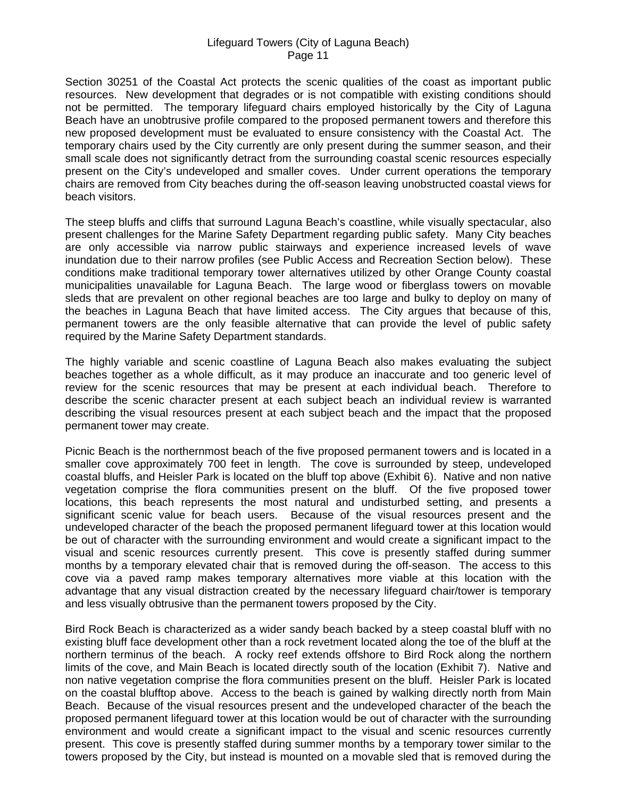Section 30251 of the Coastal Act protects the scenic qualities of the coast as important public resources. New development that degrades or is not compatible with existing conditions should not be permitted. The temporary lifeguard chairs employed historically by the City of Laguna Beach have an unobtrusive profile compared to the proposed permanent towers and therefore this new proposed development must be evaluated to ensure consistency with the Coastal Act. The temporary chairs used by the City currently are only present during the summer season, and their small scale does not significantly detract from the surrounding coastal scenic resources especially present on the City's undeveloped and smaller coves. Under current operations the temporary chairs are removed from City beaches during the off-season leaving unobstructed coastal views for beach visitors.

The steep bluffs and cliffs that surround Laguna Beach's coastline, while visually spectacular, also present challenges for the Marine Safety Department regarding public safety. Many City beaches are only accessible via narrow public stairways and experience increased levels of wave inundation due to their narrow profiles (see Public Access and Recreation Section below). These conditions make traditional temporary tower alternatives utilized by other Orange County coastal municipalities unavailable for Laguna Beach. The large wood or fiberglass towers on movable sleds that are prevalent on other regional beaches are too large and bulky to deploy on many of the beaches in Laguna Beach that have limited access. The City argues that because of this, permanent towers are the only feasible alternative that can provide the level of public safety required by the Marine Safety Department standards.

The highly variable and scenic coastline of Laguna Beach also makes evaluating the subject beaches together as a whole difficult, as it may produce an inaccurate and too generic level of review for the scenic resources that may be present at each individual beach. Therefore to describe the scenic character present at each subject beach an individual review is warranted describing the visual resources present at each subject beach and the impact that the proposed permanent tower may create.

Picnic Beach is the northernmost beach of the five proposed permanent towers and is located in a smaller cove approximately 700 feet in length. The cove is surrounded by steep, undeveloped coastal bluffs, and Heisler Park is located on the bluff top above (Exhibit 6). Native and non native vegetation comprise the flora communities present on the bluff. Of the five proposed tower locations, this beach represents the most natural and undisturbed setting, and presents a significant scenic value for beach users. Because of the visual resources present and the undeveloped character of the beach the proposed permanent lifeguard tower at this location would be out of character with the surrounding environment and would create a significant impact to the visual and scenic resources currently present. This cove is presently staffed during summer months by a temporary elevated chair that is removed during the off-season. The access to this cove via a paved ramp makes temporary alternatives more viable at this location with the advantage that any visual distraction created by the necessary lifeguard chair/tower is temporary and less visually obtrusive than the permanent towers proposed by the City.

Bird Rock Beach is characterized as a wider sandy beach backed by a steep coastal bluff with no existing bluff face development other than a rock revetment located along the toe of the bluff at the northern terminus of the beach. A rocky reef extends offshore to Bird Rock along the northern limits of the cove, and Main Beach is located directly south of the location (Exhibit 7). Native and non native vegetation comprise the flora communities present on the bluff. Heisler Park is located on the coastal blufftop above. Access to the beach is gained by walking directly north from Main Beach. Because of the visual resources present and the undeveloped character of the beach the proposed permanent lifeguard tower at this location would be out of character with the surrounding environment and would create a significant impact to the visual and scenic resources currently present. This cove is presently staffed during summer months by a temporary tower similar to the towers proposed by the City, but instead is mounted on a movable sled that is removed during the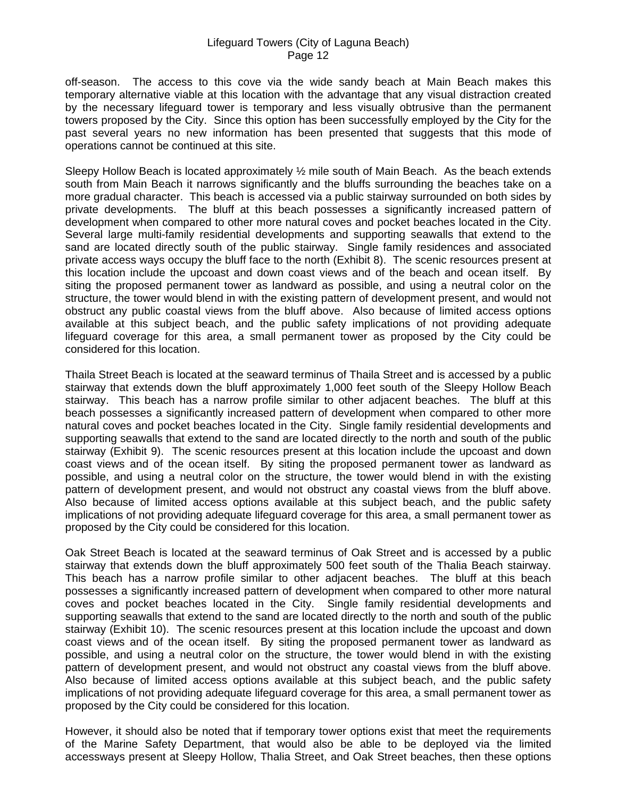off-season. The access to this cove via the wide sandy beach at Main Beach makes this temporary alternative viable at this location with the advantage that any visual distraction created by the necessary lifeguard tower is temporary and less visually obtrusive than the permanent towers proposed by the City. Since this option has been successfully employed by the City for the past several years no new information has been presented that suggests that this mode of operations cannot be continued at this site.

Sleepy Hollow Beach is located approximately ½ mile south of Main Beach. As the beach extends south from Main Beach it narrows significantly and the bluffs surrounding the beaches take on a more gradual character. This beach is accessed via a public stairway surrounded on both sides by private developments. The bluff at this beach possesses a significantly increased pattern of development when compared to other more natural coves and pocket beaches located in the City. Several large multi-family residential developments and supporting seawalls that extend to the sand are located directly south of the public stairway. Single family residences and associated private access ways occupy the bluff face to the north (Exhibit 8). The scenic resources present at this location include the upcoast and down coast views and of the beach and ocean itself. By siting the proposed permanent tower as landward as possible, and using a neutral color on the structure, the tower would blend in with the existing pattern of development present, and would not obstruct any public coastal views from the bluff above. Also because of limited access options available at this subject beach, and the public safety implications of not providing adequate lifeguard coverage for this area, a small permanent tower as proposed by the City could be considered for this location.

Thaila Street Beach is located at the seaward terminus of Thaila Street and is accessed by a public stairway that extends down the bluff approximately 1,000 feet south of the Sleepy Hollow Beach stairway. This beach has a narrow profile similar to other adjacent beaches. The bluff at this beach possesses a significantly increased pattern of development when compared to other more natural coves and pocket beaches located in the City. Single family residential developments and supporting seawalls that extend to the sand are located directly to the north and south of the public stairway (Exhibit 9). The scenic resources present at this location include the upcoast and down coast views and of the ocean itself. By siting the proposed permanent tower as landward as possible, and using a neutral color on the structure, the tower would blend in with the existing pattern of development present, and would not obstruct any coastal views from the bluff above. Also because of limited access options available at this subject beach, and the public safety implications of not providing adequate lifeguard coverage for this area, a small permanent tower as proposed by the City could be considered for this location.

Oak Street Beach is located at the seaward terminus of Oak Street and is accessed by a public stairway that extends down the bluff approximately 500 feet south of the Thalia Beach stairway. This beach has a narrow profile similar to other adjacent beaches. The bluff at this beach possesses a significantly increased pattern of development when compared to other more natural coves and pocket beaches located in the City. Single family residential developments and supporting seawalls that extend to the sand are located directly to the north and south of the public stairway (Exhibit 10). The scenic resources present at this location include the upcoast and down coast views and of the ocean itself. By siting the proposed permanent tower as landward as possible, and using a neutral color on the structure, the tower would blend in with the existing pattern of development present, and would not obstruct any coastal views from the bluff above. Also because of limited access options available at this subject beach, and the public safety implications of not providing adequate lifeguard coverage for this area, a small permanent tower as proposed by the City could be considered for this location.

However, it should also be noted that if temporary tower options exist that meet the requirements of the Marine Safety Department, that would also be able to be deployed via the limited accessways present at Sleepy Hollow, Thalia Street, and Oak Street beaches, then these options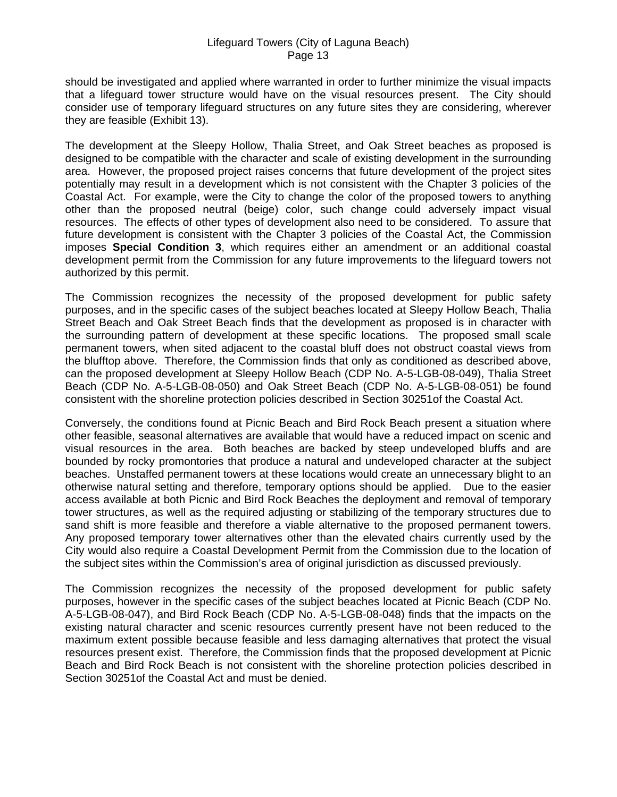should be investigated and applied where warranted in order to further minimize the visual impacts that a lifeguard tower structure would have on the visual resources present. The City should consider use of temporary lifeguard structures on any future sites they are considering, wherever they are feasible (Exhibit 13).

The development at the Sleepy Hollow, Thalia Street, and Oak Street beaches as proposed is designed to be compatible with the character and scale of existing development in the surrounding area. However, the proposed project raises concerns that future development of the project sites potentially may result in a development which is not consistent with the Chapter 3 policies of the Coastal Act. For example, were the City to change the color of the proposed towers to anything other than the proposed neutral (beige) color, such change could adversely impact visual resources. The effects of other types of development also need to be considered. To assure that future development is consistent with the Chapter 3 policies of the Coastal Act, the Commission imposes **Special Condition 3**, which requires either an amendment or an additional coastal development permit from the Commission for any future improvements to the lifeguard towers not authorized by this permit.

The Commission recognizes the necessity of the proposed development for public safety purposes, and in the specific cases of the subject beaches located at Sleepy Hollow Beach, Thalia Street Beach and Oak Street Beach finds that the development as proposed is in character with the surrounding pattern of development at these specific locations. The proposed small scale permanent towers, when sited adjacent to the coastal bluff does not obstruct coastal views from the blufftop above. Therefore, the Commission finds that only as conditioned as described above, can the proposed development at Sleepy Hollow Beach (CDP No. A-5-LGB-08-049), Thalia Street Beach (CDP No. A-5-LGB-08-050) and Oak Street Beach (CDP No. A-5-LGB-08-051) be found consistent with the shoreline protection policies described in Section 30251of the Coastal Act.

Conversely, the conditions found at Picnic Beach and Bird Rock Beach present a situation where other feasible, seasonal alternatives are available that would have a reduced impact on scenic and visual resources in the area. Both beaches are backed by steep undeveloped bluffs and are bounded by rocky promontories that produce a natural and undeveloped character at the subject beaches. Unstaffed permanent towers at these locations would create an unnecessary blight to an otherwise natural setting and therefore, temporary options should be applied. Due to the easier access available at both Picnic and Bird Rock Beaches the deployment and removal of temporary tower structures, as well as the required adjusting or stabilizing of the temporary structures due to sand shift is more feasible and therefore a viable alternative to the proposed permanent towers. Any proposed temporary tower alternatives other than the elevated chairs currently used by the City would also require a Coastal Development Permit from the Commission due to the location of the subject sites within the Commission's area of original jurisdiction as discussed previously.

The Commission recognizes the necessity of the proposed development for public safety purposes, however in the specific cases of the subject beaches located at Picnic Beach (CDP No. A-5-LGB-08-047), and Bird Rock Beach (CDP No. A-5-LGB-08-048) finds that the impacts on the existing natural character and scenic resources currently present have not been reduced to the maximum extent possible because feasible and less damaging alternatives that protect the visual resources present exist. Therefore, the Commission finds that the proposed development at Picnic Beach and Bird Rock Beach is not consistent with the shoreline protection policies described in Section 30251of the Coastal Act and must be denied.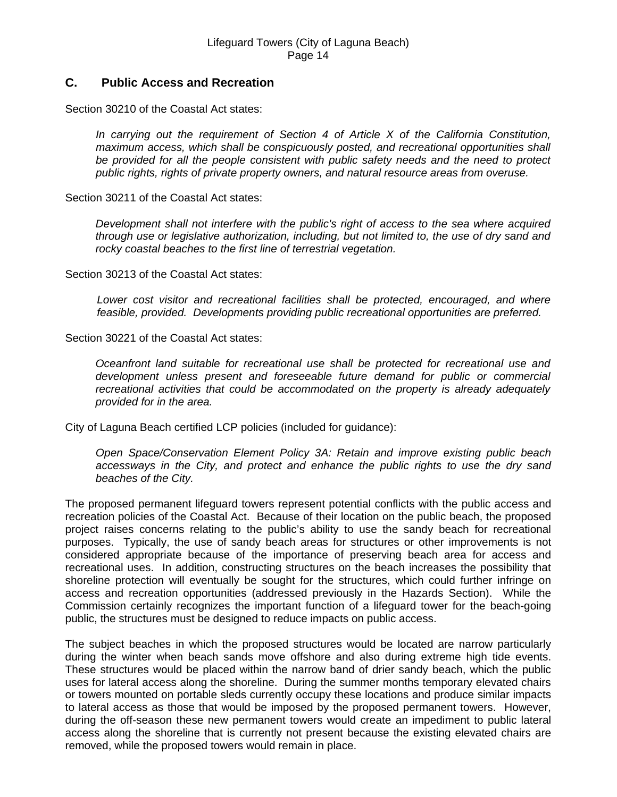## **C. Public Access and Recreation**

Section 30210 of the Coastal Act states:

*In carrying out the requirement of Section 4 of Article X of the California Constitution, maximum access, which shall be conspicuously posted, and recreational opportunities shall be provided for all the people consistent with public safety needs and the need to protect public rights, rights of private property owners, and natural resource areas from overuse.* 

Section 30211 of the Coastal Act states:

*Development shall not interfere with the public's right of access to the sea where acquired through use or legislative authorization, including, but not limited to, the use of dry sand and rocky coastal beaches to the first line of terrestrial vegetation.* 

Section 30213 of the Coastal Act states:

*Lower cost visitor and recreational facilities shall be protected, encouraged, and where feasible, provided. Developments providing public recreational opportunities are preferred.* 

Section 30221 of the Coastal Act states:

*Oceanfront land suitable for recreational use shall be protected for recreational use and development unless present and foreseeable future demand for public or commercial recreational activities that could be accommodated on the property is already adequately provided for in the area.* 

City of Laguna Beach certified LCP policies (included for guidance):

*Open Space/Conservation Element Policy 3A: Retain and improve existing public beach accessways in the City, and protect and enhance the public rights to use the dry sand beaches of the City.* 

The proposed permanent lifeguard towers represent potential conflicts with the public access and recreation policies of the Coastal Act. Because of their location on the public beach, the proposed project raises concerns relating to the public's ability to use the sandy beach for recreational purposes. Typically, the use of sandy beach areas for structures or other improvements is not considered appropriate because of the importance of preserving beach area for access and recreational uses. In addition, constructing structures on the beach increases the possibility that shoreline protection will eventually be sought for the structures, which could further infringe on access and recreation opportunities (addressed previously in the Hazards Section). While the Commission certainly recognizes the important function of a lifeguard tower for the beach-going public, the structures must be designed to reduce impacts on public access.

The subject beaches in which the proposed structures would be located are narrow particularly during the winter when beach sands move offshore and also during extreme high tide events. These structures would be placed within the narrow band of drier sandy beach, which the public uses for lateral access along the shoreline. During the summer months temporary elevated chairs or towers mounted on portable sleds currently occupy these locations and produce similar impacts to lateral access as those that would be imposed by the proposed permanent towers. However, during the off-season these new permanent towers would create an impediment to public lateral access along the shoreline that is currently not present because the existing elevated chairs are removed, while the proposed towers would remain in place.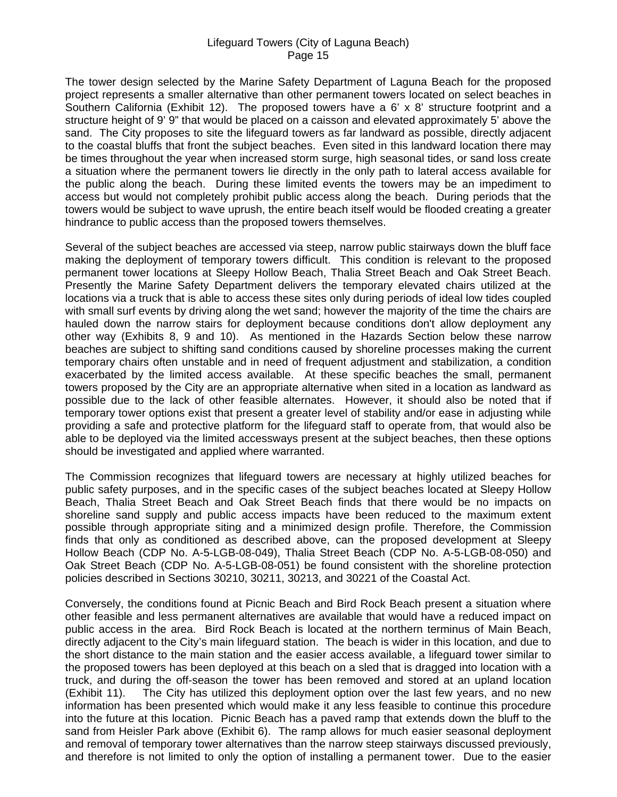The tower design selected by the Marine Safety Department of Laguna Beach for the proposed project represents a smaller alternative than other permanent towers located on select beaches in Southern California (Exhibit 12). The proposed towers have a 6' x 8' structure footprint and a structure height of 9' 9" that would be placed on a caisson and elevated approximately 5' above the sand. The City proposes to site the lifeguard towers as far landward as possible, directly adjacent to the coastal bluffs that front the subject beaches. Even sited in this landward location there may be times throughout the year when increased storm surge, high seasonal tides, or sand loss create a situation where the permanent towers lie directly in the only path to lateral access available for the public along the beach. During these limited events the towers may be an impediment to access but would not completely prohibit public access along the beach. During periods that the towers would be subject to wave uprush, the entire beach itself would be flooded creating a greater hindrance to public access than the proposed towers themselves.

Several of the subject beaches are accessed via steep, narrow public stairways down the bluff face making the deployment of temporary towers difficult. This condition is relevant to the proposed permanent tower locations at Sleepy Hollow Beach, Thalia Street Beach and Oak Street Beach. Presently the Marine Safety Department delivers the temporary elevated chairs utilized at the locations via a truck that is able to access these sites only during periods of ideal low tides coupled with small surf events by driving along the wet sand; however the majority of the time the chairs are hauled down the narrow stairs for deployment because conditions don't allow deployment any other way (Exhibits 8, 9 and 10). As mentioned in the Hazards Section below these narrow beaches are subject to shifting sand conditions caused by shoreline processes making the current temporary chairs often unstable and in need of frequent adjustment and stabilization, a condition exacerbated by the limited access available. At these specific beaches the small, permanent towers proposed by the City are an appropriate alternative when sited in a location as landward as possible due to the lack of other feasible alternates. However, it should also be noted that if temporary tower options exist that present a greater level of stability and/or ease in adjusting while providing a safe and protective platform for the lifeguard staff to operate from, that would also be able to be deployed via the limited accessways present at the subject beaches, then these options should be investigated and applied where warranted.

The Commission recognizes that lifeguard towers are necessary at highly utilized beaches for public safety purposes, and in the specific cases of the subject beaches located at Sleepy Hollow Beach, Thalia Street Beach and Oak Street Beach finds that there would be no impacts on shoreline sand supply and public access impacts have been reduced to the maximum extent possible through appropriate siting and a minimized design profile. Therefore, the Commission finds that only as conditioned as described above, can the proposed development at Sleepy Hollow Beach (CDP No. A-5-LGB-08-049), Thalia Street Beach (CDP No. A-5-LGB-08-050) and Oak Street Beach (CDP No. A-5-LGB-08-051) be found consistent with the shoreline protection policies described in Sections 30210, 30211, 30213, and 30221 of the Coastal Act.

Conversely, the conditions found at Picnic Beach and Bird Rock Beach present a situation where other feasible and less permanent alternatives are available that would have a reduced impact on public access in the area. Bird Rock Beach is located at the northern terminus of Main Beach, directly adjacent to the City's main lifeguard station. The beach is wider in this location, and due to the short distance to the main station and the easier access available, a lifeguard tower similar to the proposed towers has been deployed at this beach on a sled that is dragged into location with a truck, and during the off-season the tower has been removed and stored at an upland location (Exhibit 11). The City has utilized this deployment option over the last few years, and no new information has been presented which would make it any less feasible to continue this procedure into the future at this location. Picnic Beach has a paved ramp that extends down the bluff to the sand from Heisler Park above (Exhibit 6). The ramp allows for much easier seasonal deployment and removal of temporary tower alternatives than the narrow steep stairways discussed previously, and therefore is not limited to only the option of installing a permanent tower. Due to the easier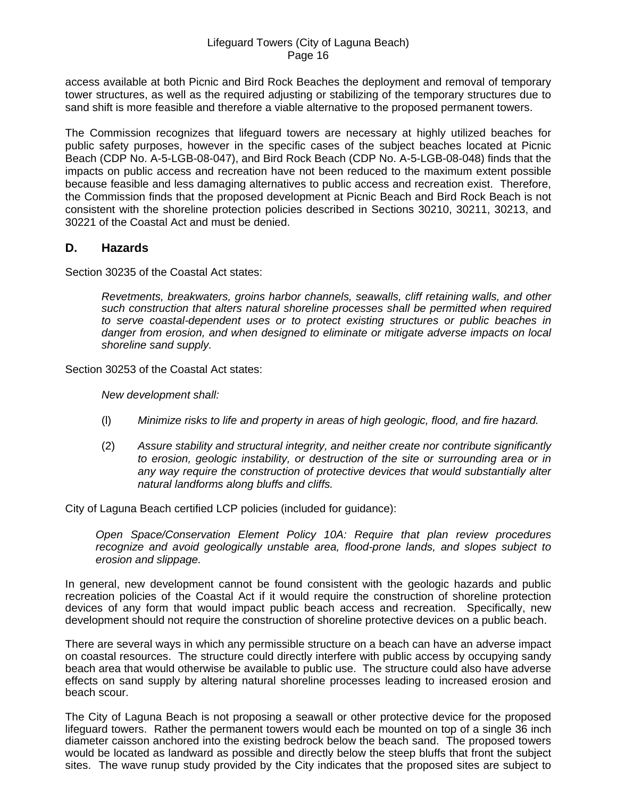access available at both Picnic and Bird Rock Beaches the deployment and removal of temporary tower structures, as well as the required adjusting or stabilizing of the temporary structures due to sand shift is more feasible and therefore a viable alternative to the proposed permanent towers.

The Commission recognizes that lifeguard towers are necessary at highly utilized beaches for public safety purposes, however in the specific cases of the subject beaches located at Picnic Beach (CDP No. A-5-LGB-08-047), and Bird Rock Beach (CDP No. A-5-LGB-08-048) finds that the impacts on public access and recreation have not been reduced to the maximum extent possible because feasible and less damaging alternatives to public access and recreation exist. Therefore, the Commission finds that the proposed development at Picnic Beach and Bird Rock Beach is not consistent with the shoreline protection policies described in Sections 30210, 30211, 30213, and 30221 of the Coastal Act and must be denied.

## **D. Hazards**

Section 30235 of the Coastal Act states:

*Revetments, breakwaters, groins harbor channels, seawalls, cliff retaining walls, and other such construction that alters natural shoreline processes shall be permitted when required to serve coastal-dependent uses or to protect existing structures or public beaches in danger from erosion, and when designed to eliminate or mitigate adverse impacts on local shoreline sand supply.* 

Section 30253 of the Coastal Act states:

*New development shall:* 

- (l) *Minimize risks to life and property in areas of high geologic, flood, and fire hazard.*
- (2) *Assure stability and structural integrity, and neither create nor contribute significantly to erosion, geologic instability, or destruction of the site or surrounding area or in any way require the construction of protective devices that would substantially alter natural landforms along bluffs and cliffs.*

City of Laguna Beach certified LCP policies (included for guidance):

*Open Space/Conservation Element Policy 10A: Require that plan review procedures recognize and avoid geologically unstable area, flood-prone lands, and slopes subject to erosion and slippage.* 

In general, new development cannot be found consistent with the geologic hazards and public recreation policies of the Coastal Act if it would require the construction of shoreline protection devices of any form that would impact public beach access and recreation. Specifically, new development should not require the construction of shoreline protective devices on a public beach.

There are several ways in which any permissible structure on a beach can have an adverse impact on coastal resources. The structure could directly interfere with public access by occupying sandy beach area that would otherwise be available to public use. The structure could also have adverse effects on sand supply by altering natural shoreline processes leading to increased erosion and beach scour.

The City of Laguna Beach is not proposing a seawall or other protective device for the proposed lifeguard towers. Rather the permanent towers would each be mounted on top of a single 36 inch diameter caisson anchored into the existing bedrock below the beach sand. The proposed towers would be located as landward as possible and directly below the steep bluffs that front the subject sites. The wave runup study provided by the City indicates that the proposed sites are subject to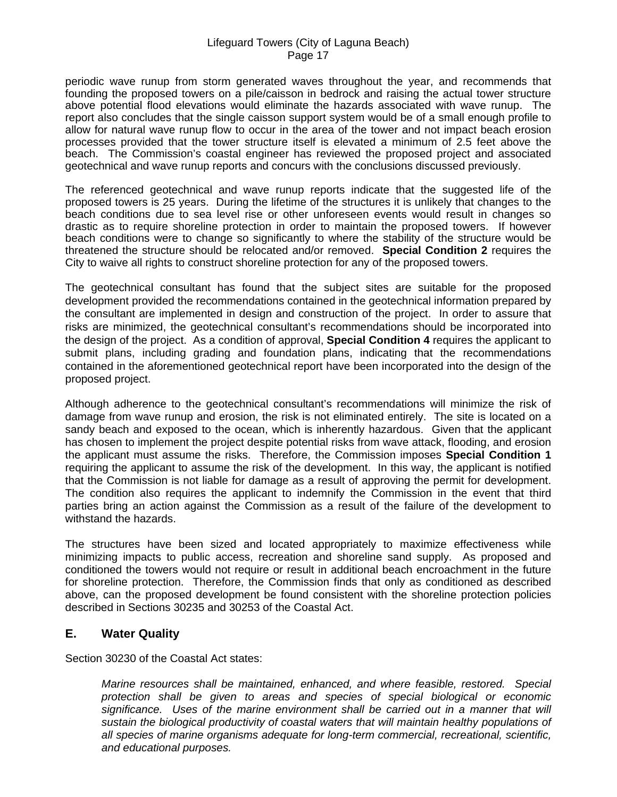periodic wave runup from storm generated waves throughout the year, and recommends that founding the proposed towers on a pile/caisson in bedrock and raising the actual tower structure above potential flood elevations would eliminate the hazards associated with wave runup. The report also concludes that the single caisson support system would be of a small enough profile to allow for natural wave runup flow to occur in the area of the tower and not impact beach erosion processes provided that the tower structure itself is elevated a minimum of 2.5 feet above the beach. The Commission's coastal engineer has reviewed the proposed project and associated geotechnical and wave runup reports and concurs with the conclusions discussed previously.

The referenced geotechnical and wave runup reports indicate that the suggested life of the proposed towers is 25 years. During the lifetime of the structures it is unlikely that changes to the beach conditions due to sea level rise or other unforeseen events would result in changes so drastic as to require shoreline protection in order to maintain the proposed towers. If however beach conditions were to change so significantly to where the stability of the structure would be threatened the structure should be relocated and/or removed. **Special Condition 2** requires the City to waive all rights to construct shoreline protection for any of the proposed towers.

The geotechnical consultant has found that the subject sites are suitable for the proposed development provided the recommendations contained in the geotechnical information prepared by the consultant are implemented in design and construction of the project. In order to assure that risks are minimized, the geotechnical consultant's recommendations should be incorporated into the design of the project. As a condition of approval, **Special Condition 4** requires the applicant to submit plans, including grading and foundation plans, indicating that the recommendations contained in the aforementioned geotechnical report have been incorporated into the design of the proposed project.

Although adherence to the geotechnical consultant's recommendations will minimize the risk of damage from wave runup and erosion, the risk is not eliminated entirely. The site is located on a sandy beach and exposed to the ocean, which is inherently hazardous. Given that the applicant has chosen to implement the project despite potential risks from wave attack, flooding, and erosion the applicant must assume the risks. Therefore, the Commission imposes **Special Condition 1** requiring the applicant to assume the risk of the development. In this way, the applicant is notified that the Commission is not liable for damage as a result of approving the permit for development. The condition also requires the applicant to indemnify the Commission in the event that third parties bring an action against the Commission as a result of the failure of the development to withstand the hazards.

The structures have been sized and located appropriately to maximize effectiveness while minimizing impacts to public access, recreation and shoreline sand supply. As proposed and conditioned the towers would not require or result in additional beach encroachment in the future for shoreline protection. Therefore, the Commission finds that only as conditioned as described above, can the proposed development be found consistent with the shoreline protection policies described in Sections 30235 and 30253 of the Coastal Act.

# **E. Water Quality**

Section 30230 of the Coastal Act states:

*Marine resources shall be maintained, enhanced, and where feasible, restored. Special protection shall be given to areas and species of special biological or economic*  significance. Uses of the marine environment shall be carried out in a manner that will *sustain the biological productivity of coastal waters that will maintain healthy populations of all species of marine organisms adequate for long-term commercial, recreational, scientific, and educational purposes.*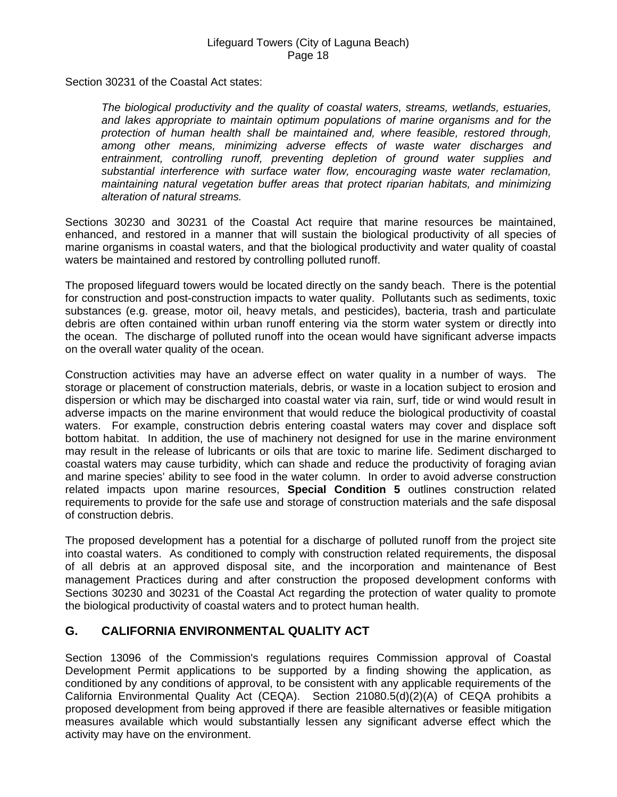Section 30231 of the Coastal Act states:

*The biological productivity and the quality of coastal waters, streams, wetlands, estuaries, and lakes appropriate to maintain optimum populations of marine organisms and for the protection of human health shall be maintained and, where feasible, restored through, among other means, minimizing adverse effects of waste water discharges and entrainment, controlling runoff, preventing depletion of ground water supplies and substantial interference with surface water flow, encouraging waste water reclamation, maintaining natural vegetation buffer areas that protect riparian habitats, and minimizing alteration of natural streams.* 

Sections 30230 and 30231 of the Coastal Act require that marine resources be maintained, enhanced, and restored in a manner that will sustain the biological productivity of all species of marine organisms in coastal waters, and that the biological productivity and water quality of coastal waters be maintained and restored by controlling polluted runoff.

The proposed lifeguard towers would be located directly on the sandy beach. There is the potential for construction and post-construction impacts to water quality. Pollutants such as sediments, toxic substances (e.g. grease, motor oil, heavy metals, and pesticides), bacteria, trash and particulate debris are often contained within urban runoff entering via the storm water system or directly into the ocean. The discharge of polluted runoff into the ocean would have significant adverse impacts on the overall water quality of the ocean.

Construction activities may have an adverse effect on water quality in a number of ways. The storage or placement of construction materials, debris, or waste in a location subject to erosion and dispersion or which may be discharged into coastal water via rain, surf, tide or wind would result in adverse impacts on the marine environment that would reduce the biological productivity of coastal waters. For example, construction debris entering coastal waters may cover and displace soft bottom habitat. In addition, the use of machinery not designed for use in the marine environment may result in the release of lubricants or oils that are toxic to marine life. Sediment discharged to coastal waters may cause turbidity, which can shade and reduce the productivity of foraging avian and marine species' ability to see food in the water column. In order to avoid adverse construction related impacts upon marine resources, **Special Condition 5** outlines construction related requirements to provide for the safe use and storage of construction materials and the safe disposal of construction debris.

The proposed development has a potential for a discharge of polluted runoff from the project site into coastal waters. As conditioned to comply with construction related requirements, the disposal of all debris at an approved disposal site, and the incorporation and maintenance of Best management Practices during and after construction the proposed development conforms with Sections 30230 and 30231 of the Coastal Act regarding the protection of water quality to promote the biological productivity of coastal waters and to protect human health.

# **G. CALIFORNIA ENVIRONMENTAL QUALITY ACT**

Section 13096 of the Commission's regulations requires Commission approval of Coastal Development Permit applications to be supported by a finding showing the application, as conditioned by any conditions of approval, to be consistent with any applicable requirements of the California Environmental Quality Act (CEQA). Section 21080.5(d)(2)(A) of CEQA prohibits a proposed development from being approved if there are feasible alternatives or feasible mitigation measures available which would substantially lessen any significant adverse effect which the activity may have on the environment.